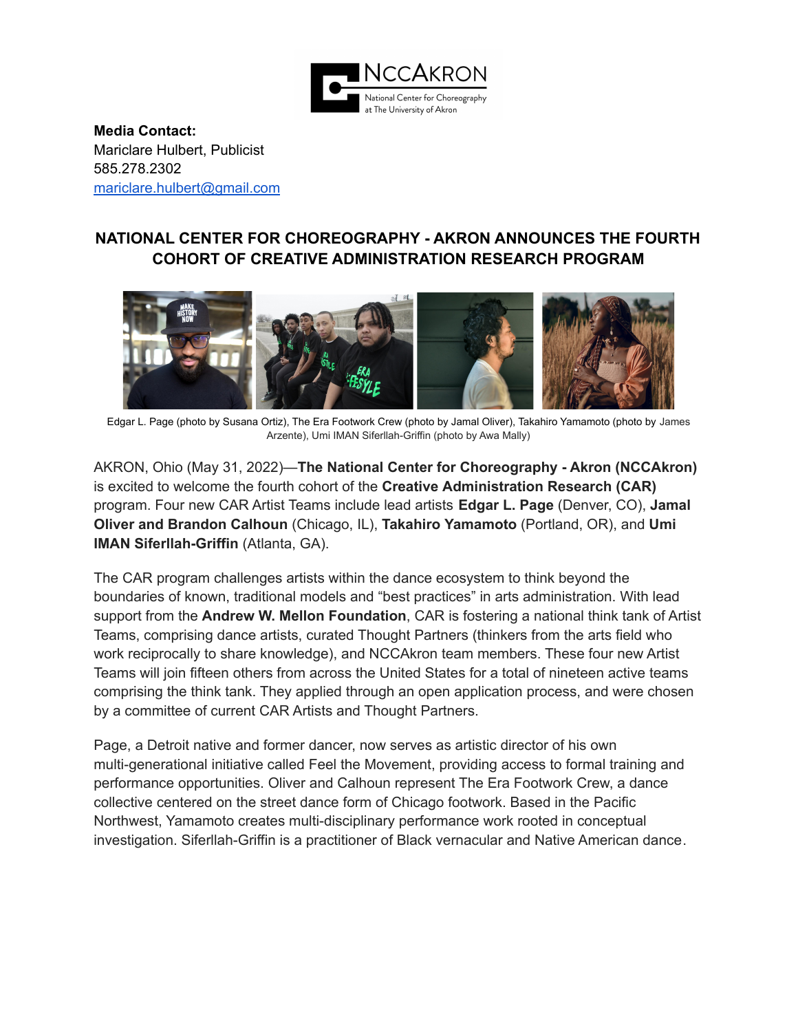

**Media Contact:** Mariclare Hulbert, Publicist 585.278.2302 [mariclare.hulbert@gmail.com](mailto:mariclare.hulbert@gmail.com)

# **NATIONAL CENTER FOR CHOREOGRAPHY - AKRON ANNOUNCES THE FOURTH COHORT OF CREATIVE ADMINISTRATION RESEARCH PROGRAM**



Edgar L. Page (photo by Susana Ortiz), The Era Footwork Crew (photo by Jamal Oliver), Takahiro Yamamoto (photo by James Arzente), Umi IMAN Siferllah-Griffin (photo by Awa Mally)

AKRON, Ohio (May 31, 2022)—**The National Center for Choreography - Akron (NCCAkron)** is excited to welcome the fourth cohort of the **Creative Administration Research (CAR)** program. Four new CAR Artist Teams include lead artists **Edgar L. Page** (Denver, CO), **Jamal Oliver and Brandon Calhoun** (Chicago, IL), **Takahiro Yamamoto** (Portland, OR), and **Umi IMAN Siferllah-Griffin** (Atlanta, GA).

The CAR program challenges artists within the dance ecosystem to think beyond the boundaries of known, traditional models and "best practices" in arts administration. With lead support from the **Andrew W. Mellon Foundation**, CAR is fostering a national think tank of Artist Teams, comprising dance artists, curated Thought Partners (thinkers from the arts field who work reciprocally to share knowledge), and NCCAkron team members. These four new Artist Teams will join fifteen others from across the United States for a total of nineteen active teams comprising the think tank. They applied through an open application process, and were chosen by a committee of current CAR Artists and Thought Partners.

Page, a Detroit native and former dancer, now serves as artistic director of his own multi-generational initiative called Feel the Movement, providing access to formal training and performance opportunities. Oliver and Calhoun represent The Era Footwork Crew, a dance collective centered on the street dance form of Chicago footwork. Based in the Pacific Northwest, Yamamoto creates multi-disciplinary performance work rooted in conceptual investigation. Siferllah-Griffin is a practitioner of Black vernacular and Native American dance.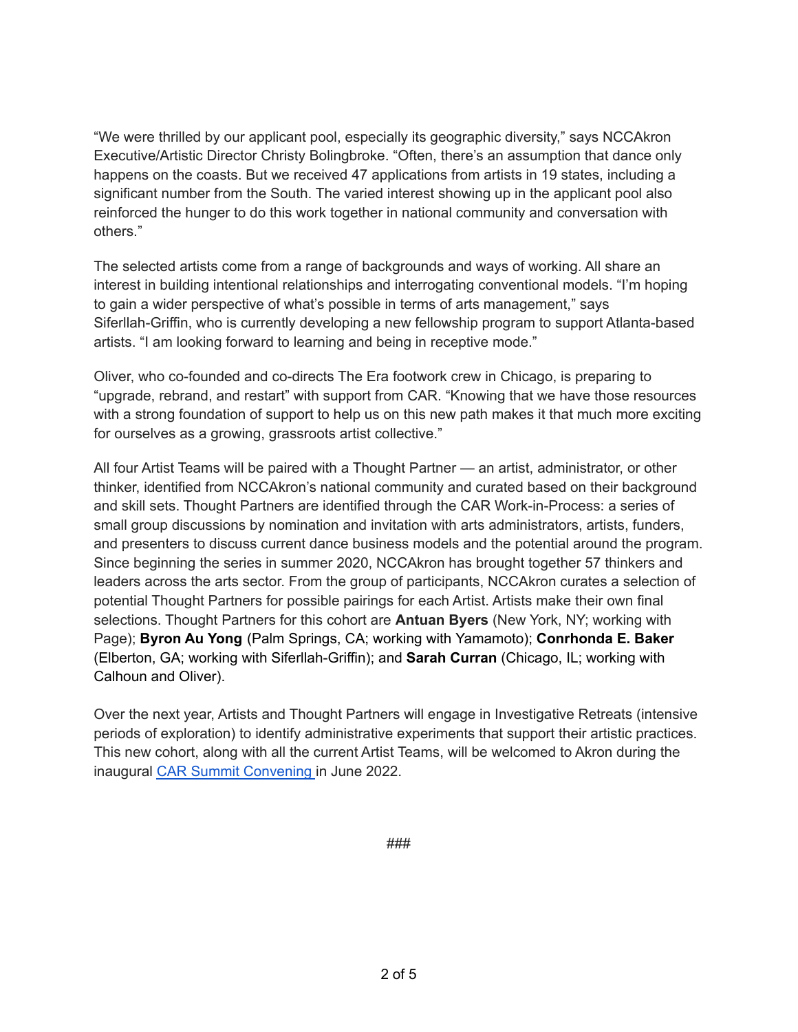"We were thrilled by our applicant pool, especially its geographic diversity," says NCCAkron Executive/Artistic Director Christy Bolingbroke. "Often, there's an assumption that dance only happens on the coasts. But we received 47 applications from artists in 19 states, including a significant number from the South. The varied interest showing up in the applicant pool also reinforced the hunger to do this work together in national community and conversation with others."

The selected artists come from a range of backgrounds and ways of working. All share an interest in building intentional relationships and interrogating conventional models. "I'm hoping to gain a wider perspective of what's possible in terms of arts management," says Siferllah-Griffin, who is currently developing a new fellowship program to support Atlanta-based artists. "I am looking forward to learning and being in receptive mode."

Oliver, who co-founded and co-directs The Era footwork crew in Chicago, is preparing to "upgrade, rebrand, and restart" with support from CAR. "Knowing that we have those resources with a strong foundation of support to help us on this new path makes it that much more exciting for ourselves as a growing, grassroots artist collective."

All four Artist Teams will be paired with a Thought Partner — an artist, administrator, or other thinker, identified from NCCAkron's national community and curated based on their background and skill sets. Thought Partners are identified through the CAR Work-in-Process: a series of small group discussions by nomination and invitation with arts administrators, artists, funders, and presenters to discuss current dance business models and the potential around the program. Since beginning the series in summer 2020, NCCAkron has brought together 57 thinkers and leaders across the arts sector. From the group of participants, NCCAkron curates a selection of potential Thought Partners for possible pairings for each Artist. Artists make their own final selections. Thought Partners for this cohort are **Antuan Byers** (New York, NY; working with Page); **Byron Au Yong** (Palm Springs, CA; working with Yamamoto); **Conrhonda E. Baker** (Elberton, GA; working with Siferllah-Griffin); and **Sarah Curran** (Chicago, IL; working with Calhoun and Oliver).

Over the next year, Artists and Thought Partners will engage in Investigative Retreats (intensive periods of exploration) to identify administrative experiments that support their artistic practices. This new cohort, along with all the current Artist Teams, will be welcomed to Akron during the inaugural CAR Summit [Convening](https://www.nccakron.org/_files/ugd/ad7034_f73b60eac1db478886c60e3d69c42e37.pdf) in June 2022.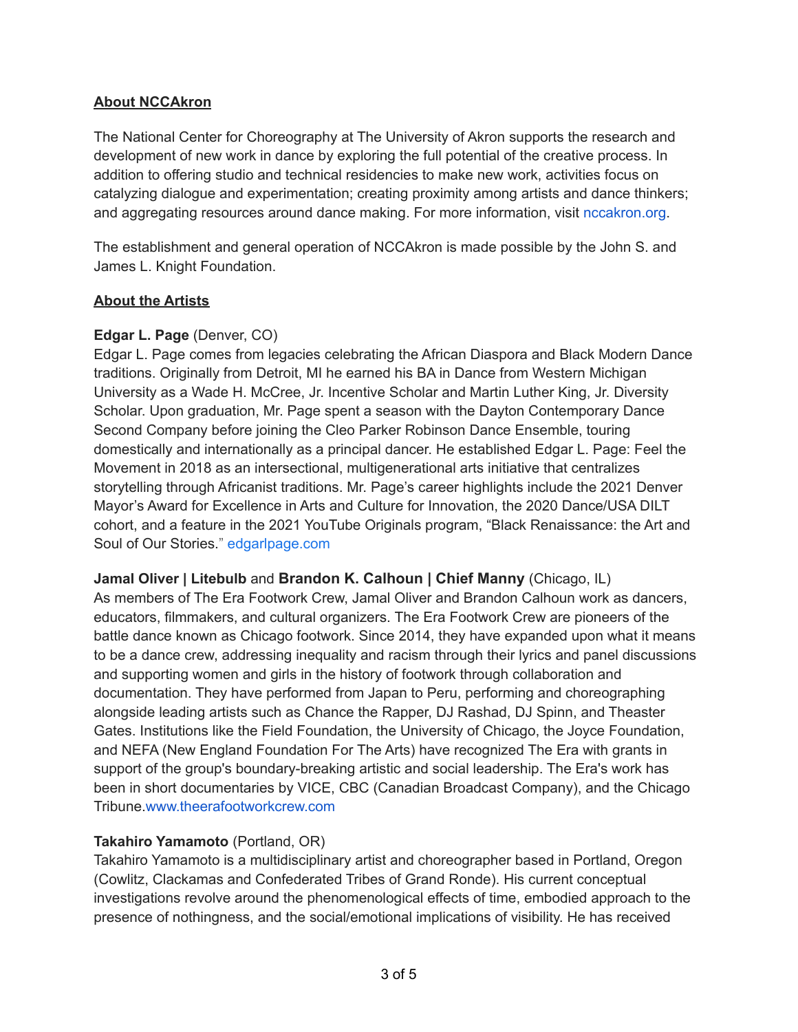### **About NCCAkron**

The National Center for Choreography at The University of Akron supports the research and development of new work in dance by exploring the full potential of the creative process. In addition to offering studio and technical residencies to make new work, activities focus on catalyzing dialogue and experimentation; creating proximity among artists and dance thinkers; and aggregating resources around dance making. For more information, visit nccakron.org.

The establishment and general operation of NCCAkron is made possible by the John S. and James L. Knight Foundation.

#### **About the Artists**

### **Edgar L. Page** (Denver, CO)

Edgar L. Page comes from legacies celebrating the African Diaspora and Black Modern Dance traditions. Originally from Detroit, MI he earned his BA in Dance from Western Michigan University as a Wade H. McCree, Jr. Incentive Scholar and Martin Luther King, Jr. Diversity Scholar. Upon graduation, Mr. Page spent a season with the Dayton Contemporary Dance Second Company before joining the Cleo Parker Robinson Dance Ensemble, touring domestically and internationally as a principal dancer. He established Edgar L. Page: Feel the Movement in 2018 as an intersectional, multigenerational arts initiative that centralizes storytelling through Africanist traditions. Mr. Page's career highlights include the 2021 Denver Mayor's Award for Excellence in Arts and Culture for Innovation, the 2020 Dance/USA DILT cohort, and a feature in the 2021 YouTube Originals program, "Black Renaissance: the Art and Soul of Our Stories." [edgarlpage.com](http://edgarlpage.com/about)

**Jamal Oliver | Litebulb** and **Brandon K. Calhoun | Chief Manny** (Chicago, IL) As members of The Era Footwork Crew, Jamal Oliver and Brandon Calhoun work as dancers, educators, filmmakers, and cultural organizers. The Era Footwork Crew are pioneers of the battle dance known as Chicago footwork. Since 2014, they have expanded upon what it means to be a dance crew, addressing inequality and racism through their lyrics and panel discussions and supporting women and girls in the history of footwork through collaboration and documentation. They have performed from Japan to Peru, performing and choreographing alongside leading artists such as Chance the Rapper, DJ Rashad, DJ Spinn, and Theaster Gates. Institutions like the Field Foundation, the University of Chicago, the Joyce Foundation, and NEFA (New England Foundation For The Arts) have recognized The Era with grants in support of the group's boundary-breaking artistic and social leadership. The Era's work has been in short documentaries by VICE, CBC (Canadian Broadcast Company), and the Chicago Tribune.[www.theerafootworkcrew.com](http://www.theerafootworkcrew.com/)

### **Takahiro Yamamoto** (Portland, OR)

Takahiro Yamamoto is a multidisciplinary artist and choreographer based in Portland, Oregon (Cowlitz, Clackamas and Confederated Tribes of Grand Ronde). His current conceptual investigations revolve around the phenomenological effects of time, embodied approach to the presence of nothingness, and the social/emotional implications of visibility. He has received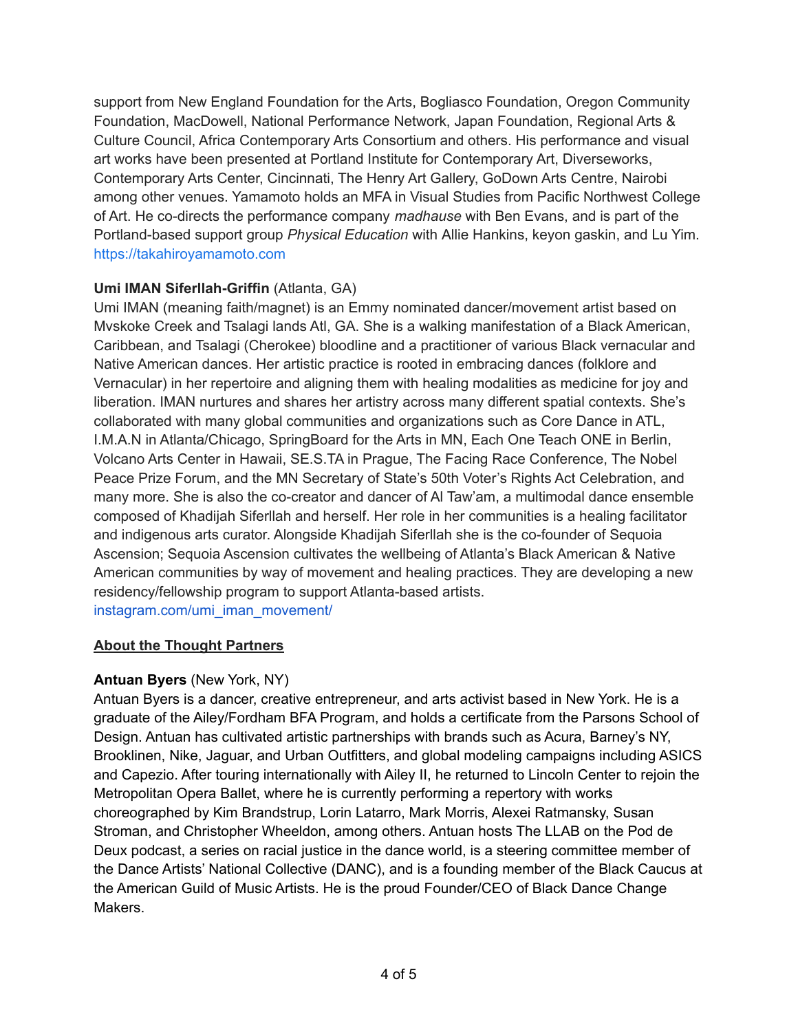support from New England Foundation for the Arts, Bogliasco Foundation, Oregon Community Foundation, MacDowell, National Performance Network, Japan Foundation, Regional Arts & Culture Council, Africa Contemporary Arts Consortium and others. His performance and visual art works have been presented at Portland Institute for Contemporary Art, Diverseworks, Contemporary Arts Center, Cincinnati, The Henry Art Gallery, GoDown Arts Centre, Nairobi among other venues. Yamamoto holds an MFA in Visual Studies from Pacific Northwest College of Art. He co-directs the performance company *madhause* with Ben Evans, and is part of the Portland-based support group *Physical Education* with Allie Hankins, keyon gaskin, and Lu Yim. [https://takahiroyamamoto.com](https://takahiroyamamoto.com/artist_main.html)

## **Umi IMAN Siferllah-Griffin** (Atlanta, GA)

Umi IMAN (meaning faith/magnet) is an Emmy nominated dancer/movement artist based on Mvskoke Creek and Tsalagi lands Atl, GA. She is a walking manifestation of a Black American, Caribbean, and Tsalagi (Cherokee) bloodline and a practitioner of various Black vernacular and Native American dances. Her artistic practice is rooted in embracing dances (folklore and Vernacular) in her repertoire and aligning them with healing modalities as medicine for joy and liberation. IMAN nurtures and shares her artistry across many different spatial contexts. She's collaborated with many global communities and organizations such as Core Dance in ATL, I.M.A.N in Atlanta/Chicago, SpringBoard for the Arts in MN, Each One Teach ONE in Berlin, Volcano Arts Center in Hawaii, SE.S.TA in Prague, The Facing Race Conference, The Nobel Peace Prize Forum, and the MN Secretary of State's 50th Voter's Rights Act Celebration, and many more. She is also the co-creator and dancer of Al Taw'am, a multimodal dance ensemble composed of Khadijah Siferllah and herself. Her role in her communities is a healing facilitator and indigenous arts curator. Alongside Khadijah Siferllah she is the co-founder of Sequoia Ascension; Sequoia Ascension cultivates the wellbeing of Atlanta's Black American & Native American communities by way of movement and healing practices. They are developing a new residency/fellowship program to support Atlanta-based artists. [instagram.com/umi\\_iman\\_movement/](https://www.instagram.com/umi_iman_movement/)

### **About the Thought Partners**

### **Antuan Byers** (New York, NY)

Antuan Byers is a dancer, creative entrepreneur, and arts activist based in New York. He is a graduate of the Ailey/Fordham BFA Program, and holds a certificate from the Parsons School of Design. Antuan has cultivated artistic partnerships with brands such as Acura, Barney's NY, Brooklinen, Nike, Jaguar, and Urban Outfitters, and global modeling campaigns including ASICS and Capezio. After touring internationally with Ailey II, he returned to Lincoln Center to rejoin the Metropolitan Opera Ballet, where he is currently performing a repertory with works choreographed by Kim Brandstrup, Lorin Latarro, Mark Morris, Alexei Ratmansky, Susan Stroman, and Christopher Wheeldon, among others. Antuan hosts The LLAB on the Pod de Deux podcast, a series on racial justice in the dance world, is a steering committee member of the Dance Artists' National Collective (DANC), and is a founding member of the Black Caucus at the American Guild of Music Artists. He is the proud Founder/CEO of Black Dance Change Makers.